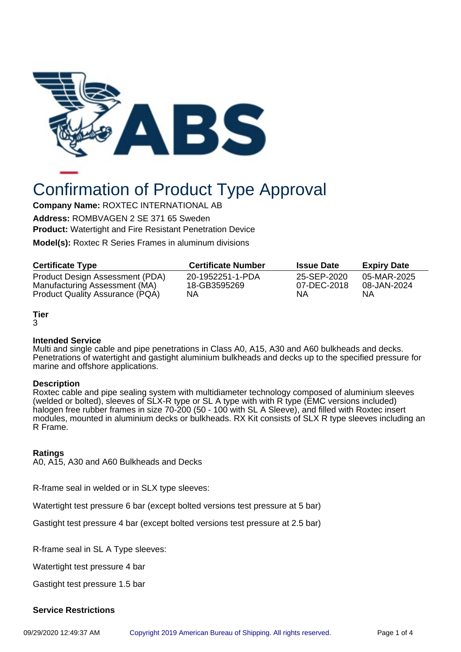

# Confirmation of Product Type Approval

**Company Name:** ROXTEC INTERNATIONAL AB

**Address:** ROMBVAGEN 2 SE 371 65 Sweden **Product:** Watertight and Fire Resistant Penetration Device

**Model(s):** Roxtec R Series Frames in aluminum divisions

| <b>Certificate Type</b>                | <b>Certificate Number</b> | <b>Issue Date</b> | <b>Expiry Date</b> |
|----------------------------------------|---------------------------|-------------------|--------------------|
| Product Design Assessment (PDA)        | 20-1952251-1-PDA          | 25-SEP-2020       | 05-MAR-2025        |
| Manufacturing Assessment (MA)          | 18-GB3595269              | 07-DEC-2018       | 08-JAN-2024        |
| <b>Product Quality Assurance (PQA)</b> | ΝA                        | ΝA                | ΝA                 |

# **Tier**

#### 3

# **Intended Service**

Multi and single cable and pipe penetrations in Class A0, A15, A30 and A60 bulkheads and decks. Penetrations of watertight and gastight aluminium bulkheads and decks up to the specified pressure for marine and offshore applications.

# **Description**

Roxtec cable and pipe sealing system with multidiameter technology composed of aluminium sleeves (welded or bolted), sleeves of SLX-R type or SL A type with with R type (EMC versions included) halogen free rubber frames in size 70-200 (50 - 100 with SL A Sleeve), and filled with Roxtec insert modules, mounted in aluminium decks or bulkheads. RX Kit consists of SLX R type sleeves including an R Frame.

# **Ratings**

A0, A15, A30 and A60 Bulkheads and Decks

R-frame seal in welded or in SLX type sleeves:

Watertight test pressure 6 bar (except bolted versions test pressure at 5 bar)

Gastight test pressure 4 bar (except bolted versions test pressure at 2.5 bar)

R-frame seal in SL A Type sleeves:

Watertight test pressure 4 bar

Gastight test pressure 1.5 bar

# **Service Restrictions**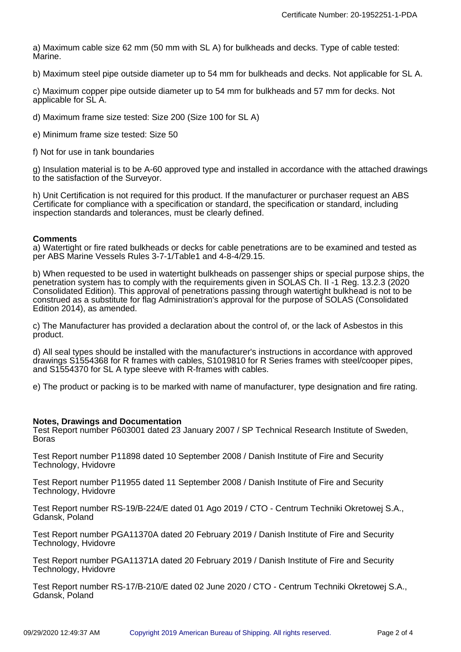a) Maximum cable size 62 mm (50 mm with SL A) for bulkheads and decks. Type of cable tested: Marine.

b) Maximum steel pipe outside diameter up to 54 mm for bulkheads and decks. Not applicable for SL A.

c) Maximum copper pipe outside diameter up to 54 mm for bulkheads and 57 mm for decks. Not applicable for SL A.

d) Maximum frame size tested: Size 200 (Size 100 for SL A)

e) Minimum frame size tested: Size 50

f) Not for use in tank boundaries

g) Insulation material is to be A-60 approved type and installed in accordance with the attached drawings to the satisfaction of the Surveyor.

h) Unit Certification is not required for this product. If the manufacturer or purchaser request an ABS Certificate for compliance with a specification or standard, the specification or standard, including inspection standards and tolerances, must be clearly defined.

#### **Comments**

a) Watertight or fire rated bulkheads or decks for cable penetrations are to be examined and tested as per ABS Marine Vessels Rules 3-7-1/Table1 and 4-8-4/29.15.

b) When requested to be used in watertight bulkheads on passenger ships or special purpose ships, the penetration system has to comply with the requirements given in SOLAS Ch. II -1 Reg. 13.2.3 (2020 Consolidated Edition). This approval of penetrations passing through watertight bulkhead is not to be construed as a substitute for flag Administration's approval for the purpose of SOLAS (Consolidated Edition 2014), as amended.

c) The Manufacturer has provided a declaration about the control of, or the lack of Asbestos in this product.

d) All seal types should be installed with the manufacturer's instructions in accordance with approved drawings S1554368 for R frames with cables, S1019810 for R Series frames with steel/cooper pipes, and S1554370 for SL A type sleeve with R-frames with cables.

e) The product or packing is to be marked with name of manufacturer, type designation and fire rating.

## **Notes, Drawings and Documentation**

Test Report number P603001 dated 23 January 2007 / SP Technical Research Institute of Sweden, Boras

Test Report number P11898 dated 10 September 2008 / Danish Institute of Fire and Security Technology, Hvidovre

Test Report number P11955 dated 11 September 2008 / Danish Institute of Fire and Security Technology, Hvidovre

Test Report number RS-19/B-224/E dated 01 Ago 2019 / CTO - Centrum Techniki Okretowej S.A., Gdansk, Poland

Test Report number PGA11370A dated 20 February 2019 / Danish Institute of Fire and Security Technology, Hvidovre

Test Report number PGA11371A dated 20 February 2019 / Danish Institute of Fire and Security Technology, Hvidovre

Test Report number RS-17/B-210/E dated 02 June 2020 / CTO - Centrum Techniki Okretowej S.A., Gdansk, Poland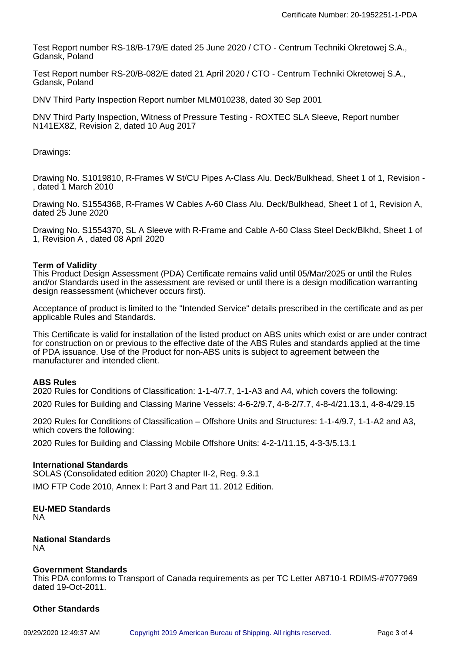Test Report number RS-18/B-179/E dated 25 June 2020 / CTO - Centrum Techniki Okretowej S.A., Gdansk, Poland

Test Report number RS-20/B-082/E dated 21 April 2020 / CTO - Centrum Techniki Okretowej S.A., Gdansk, Poland

DNV Third Party Inspection Report number MLM010238, dated 30 Sep 2001

DNV Third Party Inspection, Witness of Pressure Testing - ROXTEC SLA Sleeve, Report number N141EX8Z, Revision 2, dated 10 Aug 2017

Drawings:

Drawing No. S1019810, R-Frames W St/CU Pipes A-Class Alu. Deck/Bulkhead, Sheet 1 of 1, Revision - , dated 1 March 2010

Drawing No. S1554368, R-Frames W Cables A-60 Class Alu. Deck/Bulkhead, Sheet 1 of 1, Revision A, dated 25 June 2020

Drawing No. S1554370, SL A Sleeve with R-Frame and Cable A-60 Class Steel Deck/Blkhd, Sheet 1 of 1, Revision A , dated 08 April 2020

#### **Term of Validity**

This Product Design Assessment (PDA) Certificate remains valid until 05/Mar/2025 or until the Rules and/or Standards used in the assessment are revised or until there is a design modification warranting design reassessment (whichever occurs first).

Acceptance of product is limited to the "Intended Service" details prescribed in the certificate and as per applicable Rules and Standards.

This Certificate is valid for installation of the listed product on ABS units which exist or are under contract for construction on or previous to the effective date of the ABS Rules and standards applied at the time of PDA issuance. Use of the Product for non-ABS units is subject to agreement between the manufacturer and intended client.

## **ABS Rules**

2020 Rules for Conditions of Classification: 1-1-4/7.7, 1-1-A3 and A4, which covers the following:

2020 Rules for Building and Classing Marine Vessels: 4-6-2/9.7, 4-8-2/7.7, 4-8-4/21.13.1, 4-8-4/29.15

2020 Rules for Conditions of Classification – Offshore Units and Structures: 1-1-4/9.7, 1-1-A2 and A3, which covers the following:

2020 Rules for Building and Classing Mobile Offshore Units: 4-2-1/11.15, 4-3-3/5.13.1

#### **International Standards**

SOLAS (Consolidated edition 2020) Chapter II-2, Reg. 9.3.1

IMO FTP Code 2010, Annex I: Part 3 and Part 11. 2012 Edition.

**EU-MED Standards** NA

**National Standards** NA

## **Government Standards**

This PDA conforms to Transport of Canada requirements as per TC Letter A8710-1 RDIMS-#7077969 dated 19-Oct-2011.

## **Other Standards**